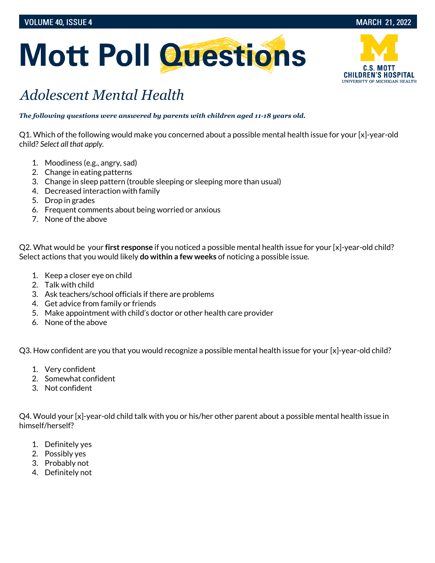



## *Adolescent Mental Health*

*The following questions were answered by parents with children aged 11-18 years old.*

Q1. Which of the following would make you concerned about a possible mental health issue for your [x]-year-old child? *Select all that apply.* 

- 1. Moodiness (e.g., angry, sad)
- 2. Change in eating patterns
- 3. Change in sleep pattern (trouble sleeping or sleeping more than usual)
- 4. Decreased interaction with family
- 5. Drop in grades
- 6. Frequent comments about being worried or anxious
- 7. None of the above

Q2. What would be your **first response** if you noticed a possible mental health issue for your [x]-year-old child? Select actions that you would likely **do within a few weeks** of noticing a possible issue.

- 1. Keep a closer eye on child
- 2. Talk with child
- 3. Ask teachers/school officials if there are problems
- 4. Get advice from family or friends
- 5. Make appointment with child's doctor or other health care provider
- 6. None of the above

Q3. How confident are you that you would recognize a possible mental health issue for your [x]-year-old child?

- 1. Very confident
- 2. Somewhat confident
- 3. Not confident

Q4. Would your [x]-year-old child talk with you or his/her other parent about a possible mental health issue in himself/herself?

- 1. Definitely yes
- 2. Possibly yes
- 3. Probably not
- 4. Definitely not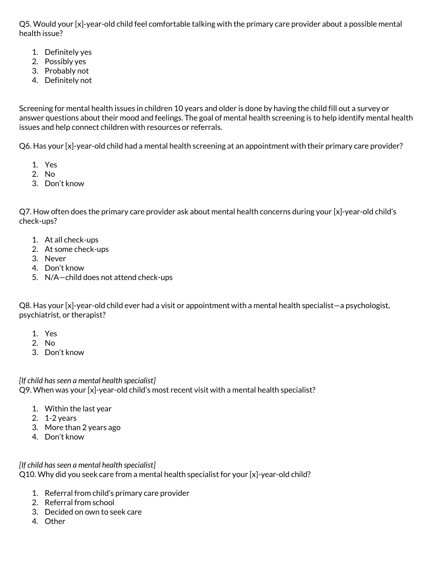Q5. Would your [x]-year-old child feel comfortable talking with the primary care provider about a possible mental health issue?

- 1. Definitely yes
- 2. Possibly yes
- 3. Probably not
- 4. Definitely not

Screening for mental health issues in children 10 years and older is done by having the child fill out a survey or answer questions about their mood and feelings. The goal of mental health screening is to help identify mental health issues and help connect children with resources or referrals.

Q6. Has your [x]-year-old child had a mental health screening at an appointment with their primary care provider?

- 1. Yes
- 2. No
- 3. Don't know

Q7. How often does the primary care provider ask about mental health concerns during your [x]-year-old child's check-ups?

- 1. At all check-ups
- 2. At some check-ups
- 3. Never
- 4. Don't know
- 5. N/A—child does not attend check-ups

Q8. Has your [x]-year-old child ever had a visit or appointment with a mental health specialist—a psychologist, psychiatrist, or therapist?

- 1. Yes
- 2. No
- 3. Don't know

*[If child has seen a mental health specialist]*  Q9. When was your [x]-year-old child's most recent visit with a mental health specialist?

- 1. Within the last year
- 2. 1-2 years
- 3. More than 2 years ago
- 4. Don't know

*[If child has seen a mental health specialist]*  Q10. Why did you seek care from a mental health specialist for your [x]-year-old child?

- 1. Referral from child's primary care provider
- 2. Referral from school
- 3. Decided on own to seek care
- 4. Other